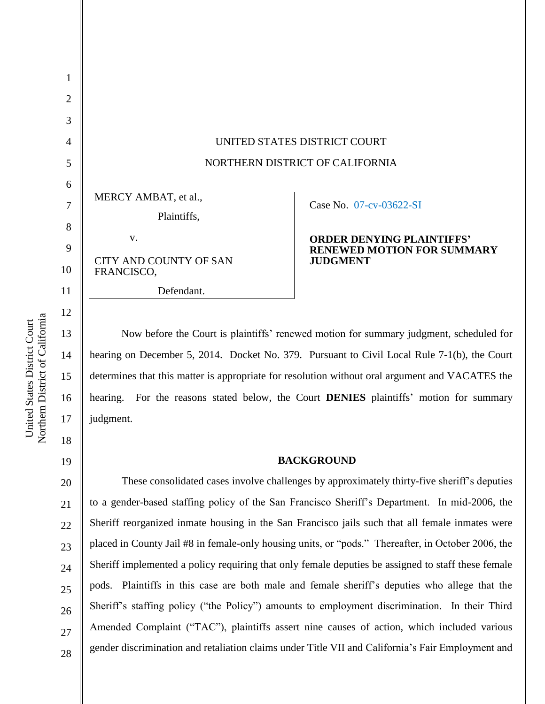| $\overline{2}$ |                                             |                                   |
|----------------|---------------------------------------------|-----------------------------------|
| 3              |                                             |                                   |
| $\overline{4}$ | UNITED STATES DISTRICT COURT                |                                   |
| 5              | NORTHERN DISTRICT OF CALIFORNIA             |                                   |
| 6              |                                             |                                   |
| 7              | MERCY AMBAT, et al.,<br>Plaintiffs,         | Case No. 07-cv-03622-SI           |
| 8              | V.                                          | <b>ORDER DENYING PLAINTIFFS'</b>  |
| 9              |                                             | <b>RENEWED MOTION FOR SUMMARY</b> |
| 10             | <b>CITY AND COUNTY OF SAN</b><br>FRANCISCO, | <b>JUDGMENT</b>                   |
| 11             | Defendant.                                  |                                   |
| 12             |                                             |                                   |

Now before the Court is plaintiffs' renewed motion for summary judgment, scheduled for hearing on December 5, 2014. Docket No. 379. Pursuant to Civil Local Rule 7-1(b), the Court determines that this matter is appropriate for resolution without oral argument and VACATES the hearing. For the reasons stated below, the Court **DENIES** plaintiffs' motion for summary judgment.

### **BACKGROUND**

These consolidated cases involve challenges by approximately thirty-five sheriff's deputies to a gender-based staffing policy of the San Francisco Sheriff's Department. In mid-2006, the Sheriff reorganized inmate housing in the San Francisco jails such that all female inmates were placed in County Jail #8 in female-only housing units, or "pods." Thereafter, in October 2006, the Sheriff implemented a policy requiring that only female deputies be assigned to staff these female pods. Plaintiffs in this case are both male and female sheriff's deputies who allege that the Sheriff's staffing policy ("the Policy") amounts to employment discrimination. In their Third Amended Complaint ("TAC"), plaintiffs assert nine causes of action, which included various gender discrimination and retaliation claims under Title VII and California's Fair Employment and

Northern District of California Northern District of California United States District Court United States District Court

13

14

15

16

17

18

19

20

21

22

23

24

25

26

27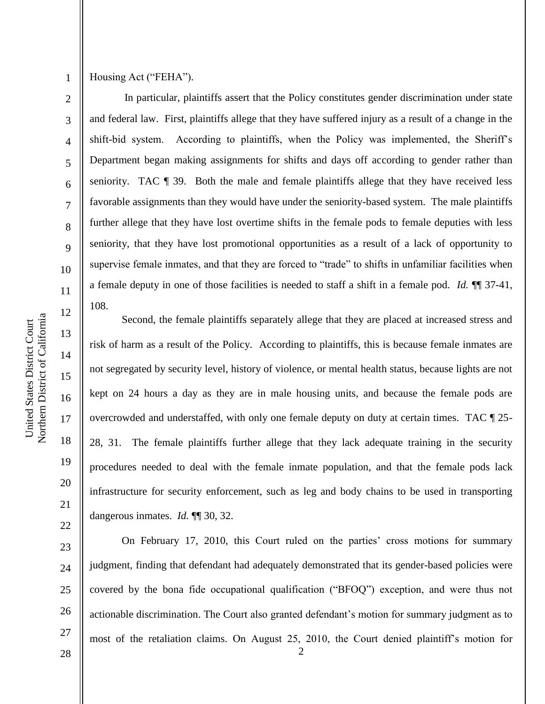3

4

5

6

7

8

9

10

11

12

13

14

15

16

17

18

19

20

21

22

23

24

25

### Housing Act ("FEHA").

In particular, plaintiffs assert that the Policy constitutes gender discrimination under state and federal law. First, plaintiffs allege that they have suffered injury as a result of a change in the shift-bid system. According to plaintiffs, when the Policy was implemented, the Sheriff's Department began making assignments for shifts and days off according to gender rather than seniority. TAC ¶ 39. Both the male and female plaintiffs allege that they have received less favorable assignments than they would have under the seniority-based system. The male plaintiffs further allege that they have lost overtime shifts in the female pods to female deputies with less seniority, that they have lost promotional opportunities as a result of a lack of opportunity to supervise female inmates, and that they are forced to "trade" to shifts in unfamiliar facilities when a female deputy in one of those facilities is needed to staff a shift in a female pod. *Id.* ¶¶ 37-41, 108.

Second, the female plaintiffs separately allege that they are placed at increased stress and risk of harm as a result of the Policy. According to plaintiffs, this is because female inmates are not segregated by security level, history of violence, or mental health status, because lights are not kept on 24 hours a day as they are in male housing units, and because the female pods are overcrowded and understaffed, with only one female deputy on duty at certain times. TAC ¶ 25- 28, 31. The female plaintiffs further allege that they lack adequate training in the security procedures needed to deal with the female inmate population, and that the female pods lack infrastructure for security enforcement, such as leg and body chains to be used in transporting dangerous inmates. *Id.* **[1]** 30, 32.

2 26 On February 17, 2010, this Court ruled on the parties' cross motions for summary judgment, finding that defendant had adequately demonstrated that its gender-based policies were covered by the bona fide occupational qualification ("BFOQ") exception, and were thus not actionable discrimination. The Court also granted defendant's motion for summary judgment as to most of the retaliation claims. On August 25, 2010, the Court denied plaintiff's motion for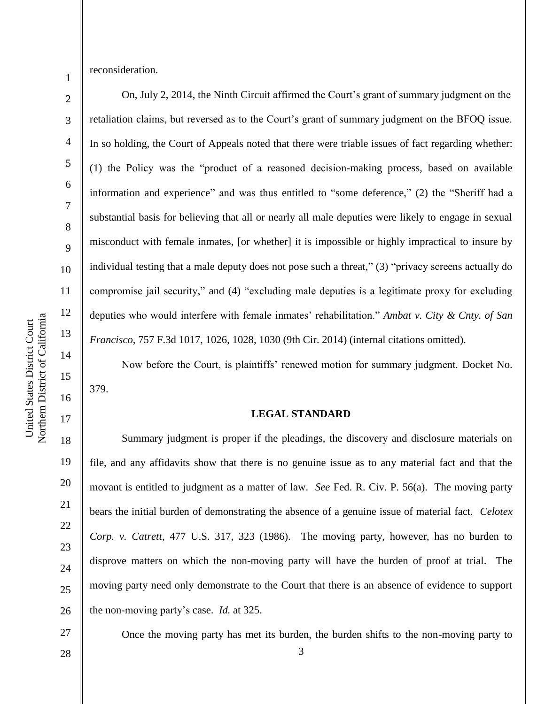Northern District of California Northern District of California United States District Court United States District Court

reconsideration.

1

2

3

4

5

6

7

8

9

10

11

12

13

14

15

16

17

18

19

20

21

22

23

24

25

26

27

On, July 2, 2014, the Ninth Circuit affirmed the Court's grant of summary judgment on the retaliation claims, but reversed as to the Court's grant of summary judgment on the BFOQ issue. In so holding, the Court of Appeals noted that there were triable issues of fact regarding whether: (1) the Policy was the "product of a reasoned decision-making process, based on available information and experience" and was thus entitled to "some deference," (2) the "Sheriff had a substantial basis for believing that all or nearly all male deputies were likely to engage in sexual misconduct with female inmates, [or whether] it is impossible or highly impractical to insure by individual testing that a male deputy does not pose such a threat," (3) "privacy screens actually do compromise jail security," and (4) "excluding male deputies is a legitimate proxy for excluding deputies who would interfere with female inmates' rehabilitation." *Ambat v. City & Cnty. of San Francisco*, 757 F.3d 1017, 1026, 1028, 1030 (9th Cir. 2014) (internal citations omitted).

Now before the Court, is plaintiffs' renewed motion for summary judgment. Docket No. 379.

### **LEGAL STANDARD**

Summary judgment is proper if the pleadings, the discovery and disclosure materials on file, and any affidavits show that there is no genuine issue as to any material fact and that the movant is entitled to judgment as a matter of law. *See* Fed. R. Civ. P. 56(a). The moving party bears the initial burden of demonstrating the absence of a genuine issue of material fact. *Celotex Corp. v. Catrett*, 477 U.S. 317, 323 (1986). The moving party, however, has no burden to disprove matters on which the non-moving party will have the burden of proof at trial. The moving party need only demonstrate to the Court that there is an absence of evidence to support the non-moving party's case. *Id.* at 325.

Once the moving party has met its burden, the burden shifts to the non-moving party to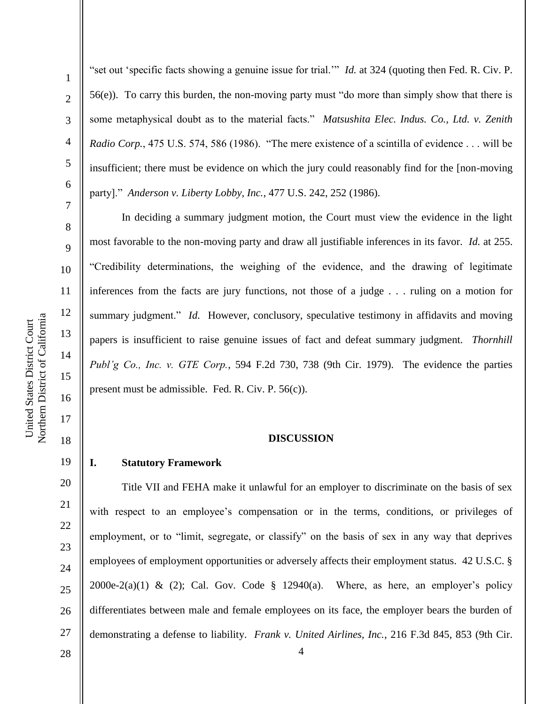2

3

4

5

6

7

8

9

10

11

12

13

14

15

16

17

18

19

20

21

22

23

24

25

26

27

"set out 'specific facts showing a genuine issue for trial.'" *Id.* at 324 (quoting then Fed. R. Civ. P. 56(e)). To carry this burden, the non-moving party must "do more than simply show that there is some metaphysical doubt as to the material facts." *Matsushita Elec. Indus. Co., Ltd. v. Zenith Radio Corp.*, 475 U.S. 574, 586 (1986). "The mere existence of a scintilla of evidence . . . will be insufficient; there must be evidence on which the jury could reasonably find for the [non-moving party]." *Anderson v. Liberty Lobby, Inc.*, 477 U.S. 242, 252 (1986).

In deciding a summary judgment motion, the Court must view the evidence in the light most favorable to the non-moving party and draw all justifiable inferences in its favor. *Id.* at 255. "Credibility determinations, the weighing of the evidence, and the drawing of legitimate inferences from the facts are jury functions, not those of a judge . . . ruling on a motion for summary judgment." *Id.* However, conclusory, speculative testimony in affidavits and moving papers is insufficient to raise genuine issues of fact and defeat summary judgment. *Thornhill Publ'g Co., Inc. v. GTE Corp.*, 594 F.2d 730, 738 (9th Cir. 1979). The evidence the parties present must be admissible. Fed. R. Civ. P. 56(c)).

#### **DISCUSSION**

### **I. Statutory Framework**

Title VII and FEHA make it unlawful for an employer to discriminate on the basis of sex with respect to an employee's compensation or in the terms, conditions, or privileges of employment, or to "limit, segregate, or classify" on the basis of sex in any way that deprives employees of employment opportunities or adversely affects their employment status. 42 U.S.C. § 2000e-2(a)(1) & (2); Cal. Gov. Code  $\S$  12940(a). Where, as here, an employer's policy differentiates between male and female employees on its face, the employer bears the burden of demonstrating a defense to liability. *Frank v. United Airlines, Inc.*, 216 F.3d 845, 853 (9th Cir.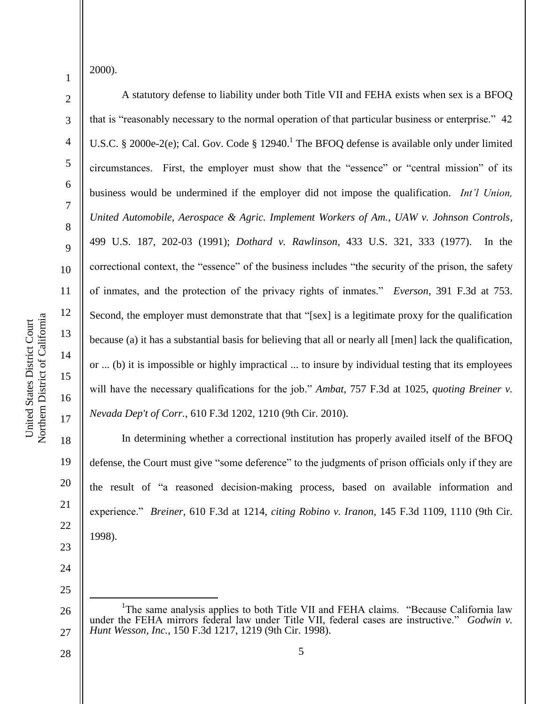2000).

1

2

3

4

5

6

7

8

9

10

11

12

13

14

15

16

17

18

19

20

21

22

23

24

25

A statutory defense to liability under both Title VII and FEHA exists when sex is a BFOQ that is "reasonably necessary to the normal operation of that particular business or enterprise." 42 U.S.C. § 2000e-2(e); Cal. Gov. Code § 12940.<sup>1</sup> The BFOQ defense is available only under limited circumstances. First, the employer must show that the "essence" or "central mission" of its business would be undermined if the employer did not impose the qualification. *Int'l Union, United Automobile, Aerospace & Agric. Implement Workers of Am., UAW v. Johnson Controls*, 499 U.S. 187, 202-03 (1991); *Dothard v. Rawlinson*, 433 U.S. 321, 333 (1977). In the correctional context, the "essence" of the business includes "the security of the prison, the safety of inmates, and the protection of the privacy rights of inmates." *Everson*, 391 F.3d at 753. Second, the employer must demonstrate that that "[sex] is a legitimate proxy for the qualification because (a) it has a substantial basis for believing that all or nearly all [men] lack the qualification, or ... (b) it is impossible or highly impractical ... to insure by individual testing that its employees will have the necessary qualifications for the job." *Ambat*, 757 F.3d at 1025, *quoting Breiner v. Nevada Dep't of Corr.*, 610 F.3d 1202, 1210 (9th Cir. 2010).

In determining whether a correctional institution has properly availed itself of the BFOQ defense, the Court must give "some deference" to the judgments of prison officials only if they are the result of "a reasoned decision-making process, based on available information and experience." *Breiner,* 610 F.3d at 1214, *citing Robino v. Iranon,* 145 F.3d 1109, 1110 (9th Cir. 1998).

26 27  $\overline{a}$ <sup>1</sup>The same analysis applies to both Title VII and FEHA claims. "Because California law under the FEHA mirrors federal law under Title VII, federal cases are instructive." *Godwin v. Hunt Wesson, Inc.*, 150 F.3d 1217, 1219 (9th Cir. 1998).

Northern District of California Northern District of California United States District Court United States District Court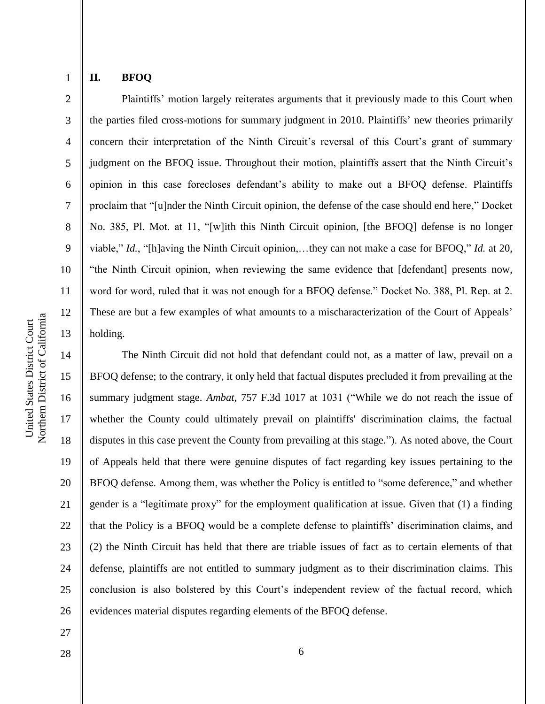3

4

5

6

7

8

9

10

11

12

13

27

28

# **II. BFOQ**

Plaintiffs' motion largely reiterates arguments that it previously made to this Court when the parties filed cross-motions for summary judgment in 2010. Plaintiffs' new theories primarily concern their interpretation of the Ninth Circuit's reversal of this Court's grant of summary judgment on the BFOQ issue. Throughout their motion, plaintiffs assert that the Ninth Circuit's opinion in this case forecloses defendant's ability to make out a BFOQ defense. Plaintiffs proclaim that "[u]nder the Ninth Circuit opinion, the defense of the case should end here," Docket No. 385, Pl. Mot. at 11, "[w]ith this Ninth Circuit opinion, [the BFOQ] defense is no longer viable," *Id.*, "[h]aving the Ninth Circuit opinion,…they can not make a case for BFOQ," *Id.* at 20, "the Ninth Circuit opinion, when reviewing the same evidence that [defendant] presents now, word for word, ruled that it was not enough for a BFOQ defense." Docket No. 388, Pl. Rep. at 2. These are but a few examples of what amounts to a mischaracterization of the Court of Appeals' holding.

14 15 16 17 18 19 20 21 22 23 24 25 26 The Ninth Circuit did not hold that defendant could not, as a matter of law, prevail on a BFOQ defense; to the contrary, it only held that factual disputes precluded it from prevailing at the summary judgment stage. *Ambat*, 757 F.3d 1017 at 1031 ("While we do not reach the issue of whether the County could ultimately prevail on plaintiffs' discrimination claims, the factual disputes in this case prevent the County from prevailing at this stage."). As noted above, the Court of Appeals held that there were genuine disputes of fact regarding key issues pertaining to the BFOQ defense. Among them, was whether the Policy is entitled to "some deference," and whether gender is a "legitimate proxy" for the employment qualification at issue. Given that (1) a finding that the Policy is a BFOQ would be a complete defense to plaintiffs' discrimination claims, and (2) the Ninth Circuit has held that there are triable issues of fact as to certain elements of that defense, plaintiffs are not entitled to summary judgment as to their discrimination claims. This conclusion is also bolstered by this Court's independent review of the factual record, which evidences material disputes regarding elements of the BFOQ defense.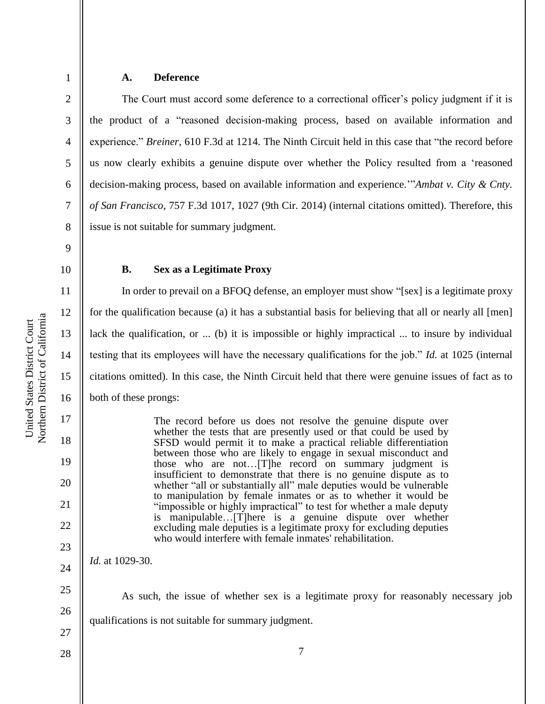4

5

6

7

8

# **A. Deference**

The Court must accord some deference to a correctional officer's policy judgment if it is the product of a "reasoned decision-making process, based on available information and experience." *Breiner,* 610 F.3d at 1214. The Ninth Circuit held in this case that "the record before us now clearly exhibits a genuine dispute over whether the Policy resulted from a 'reasoned decision-making process, based on available information and experience.'"*Ambat v. City & Cnty. of San Francisco*, 757 F.3d 1017, 1027 (9th Cir. 2014) (internal citations omitted). Therefore, this issue is not suitable for summary judgment.

9

10

11

12

13

14

15

16

17

18

19

20

21

22

23

24

25

26

27

28

### **B. Sex as a Legitimate Proxy**

In order to prevail on a BFOQ defense, an employer must show "[sex] is a legitimate proxy for the qualification because (a) it has a substantial basis for believing that all or nearly all [men] lack the qualification, or ... (b) it is impossible or highly impractical ... to insure by individual testing that its employees will have the necessary qualifications for the job." *Id.* at 1025 (internal citations omitted). In this case, the Ninth Circuit held that there were genuine issues of fact as to both of these prongs:

> The record before us does not resolve the genuine dispute over whether the tests that are presently used or that could be used by SFSD would permit it to make a practical reliable differentiation between those who are likely to engage in sexual misconduct and those who are not...[T]he record on summary judgment is insufficient to demonstrate that there is no genuine dispute as to whether "all or substantially all" male deputies would be vulnerable to manipulation by female inmates or as to whether it would be "impossible or highly impractical" to test for whether a male deputy is manipulable…[T]here is a genuine dispute over whether excluding male deputies is a legitimate proxy for excluding deputies who would interfere with female inmates' rehabilitation.

*Id.* at 1029-30.

As such, the issue of whether sex is a legitimate proxy for reasonably necessary job qualifications is not suitable for summary judgment.

Northern District of California Northern District of California United States District Court United States District Court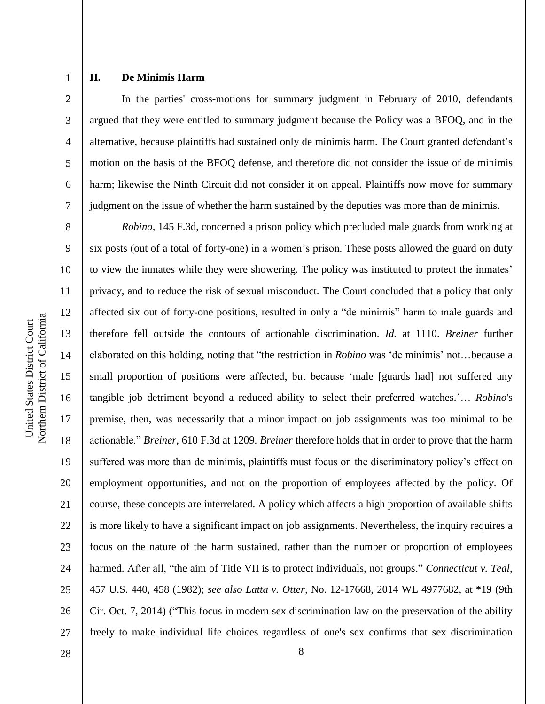4

5

6

7

# **II. De Minimis Harm**

In the parties' cross-motions for summary judgment in February of 2010, defendants argued that they were entitled to summary judgment because the Policy was a BFOQ, and in the alternative, because plaintiffs had sustained only de minimis harm. The Court granted defendant's motion on the basis of the BFOQ defense, and therefore did not consider the issue of de minimis harm; likewise the Ninth Circuit did not consider it on appeal. Plaintiffs now move for summary judgment on the issue of whether the harm sustained by the deputies was more than de minimis.

8 9 10 11 12 13 14 15 16 18 19 20 21 22 23 24 25 26 27 *Robino,* 145 F.3d, concerned a prison policy which precluded male guards from working at six posts (out of a total of forty-one) in a women's prison. These posts allowed the guard on duty to view the inmates while they were showering. The policy was instituted to protect the inmates' privacy, and to reduce the risk of sexual misconduct. The Court concluded that a policy that only affected six out of forty-one positions, resulted in only a "de minimis" harm to male guards and therefore fell outside the contours of actionable discrimination. *Id.* at 1110. *Breiner* further elaborated on this holding, noting that "the restriction in *Robino* was 'de minimis' not…because a small proportion of positions were affected, but because 'male [guards had] not suffered any tangible job detriment beyond a reduced ability to select their preferred watches.'… *Robino*'s premise, then, was necessarily that a minor impact on job assignments was too minimal to be actionable." *Breiner,* 610 F.3d at 1209. *Breiner* therefore holds that in order to prove that the harm suffered was more than de minimis, plaintiffs must focus on the discriminatory policy's effect on employment opportunities, and not on the proportion of employees affected by the policy. Of course, these concepts are interrelated. A policy which affects a high proportion of available shifts is more likely to have a significant impact on job assignments. Nevertheless, the inquiry requires a focus on the nature of the harm sustained, rather than the number or proportion of employees harmed. After all, "the aim of Title VII is to protect individuals, not groups." *Connecticut v. Teal*, 457 U.S. 440, 458 (1982); *see also Latta v. Otter,* No. 12-17668, 2014 WL 4977682, at \*19 (9th Cir. Oct. 7, 2014) ("This focus in modern sex discrimination law on the preservation of the ability freely to make individual life choices regardless of one's sex confirms that sex discrimination

8

Northern District of California Northern District of California United States District Court United States District Court

17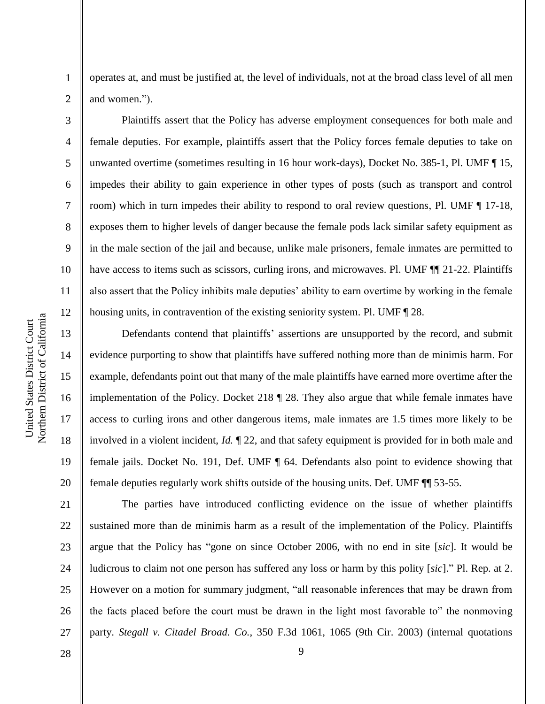3

4

5

6

7

8

9

10

11

12

13

14

15

16

17

18

19

20

21

22

23

24

25

26

27

operates at, and must be justified at, the level of individuals, not at the broad class level of all men and women.").

Plaintiffs assert that the Policy has adverse employment consequences for both male and female deputies. For example, plaintiffs assert that the Policy forces female deputies to take on unwanted overtime (sometimes resulting in 16 hour work-days), Docket No. 385-1, Pl. UMF ¶ 15, impedes their ability to gain experience in other types of posts (such as transport and control room) which in turn impedes their ability to respond to oral review questions, Pl. UMF ¶ 17-18, exposes them to higher levels of danger because the female pods lack similar safety equipment as in the male section of the jail and because, unlike male prisoners, female inmates are permitted to have access to items such as scissors, curling irons, and microwaves. Pl. UMF  $\P$  21-22. Plaintiffs also assert that the Policy inhibits male deputies' ability to earn overtime by working in the female housing units, in contravention of the existing seniority system. Pl. UMF ¶ 28.

Defendants contend that plaintiffs' assertions are unsupported by the record, and submit evidence purporting to show that plaintiffs have suffered nothing more than de minimis harm. For example, defendants point out that many of the male plaintiffs have earned more overtime after the implementation of the Policy. Docket 218 ¶ 28. They also argue that while female inmates have access to curling irons and other dangerous items, male inmates are 1.5 times more likely to be involved in a violent incident, *Id.* ¶ 22, and that safety equipment is provided for in both male and female jails. Docket No. 191, Def. UMF ¶ 64. Defendants also point to evidence showing that female deputies regularly work shifts outside of the housing units. Def. UMF ¶¶ 53-55.

The parties have introduced conflicting evidence on the issue of whether plaintiffs sustained more than de minimis harm as a result of the implementation of the Policy. Plaintiffs argue that the Policy has "gone on since October 2006, with no end in site [*sic*]. It would be ludicrous to claim not one person has suffered any loss or harm by this polity [*sic*]." Pl. Rep. at 2. However on a motion for summary judgment, "all reasonable inferences that may be drawn from the facts placed before the court must be drawn in the light most favorable to" the nonmoving party. *Stegall v. Citadel Broad. Co.*, 350 F.3d 1061, 1065 (9th Cir. 2003) (internal quotations